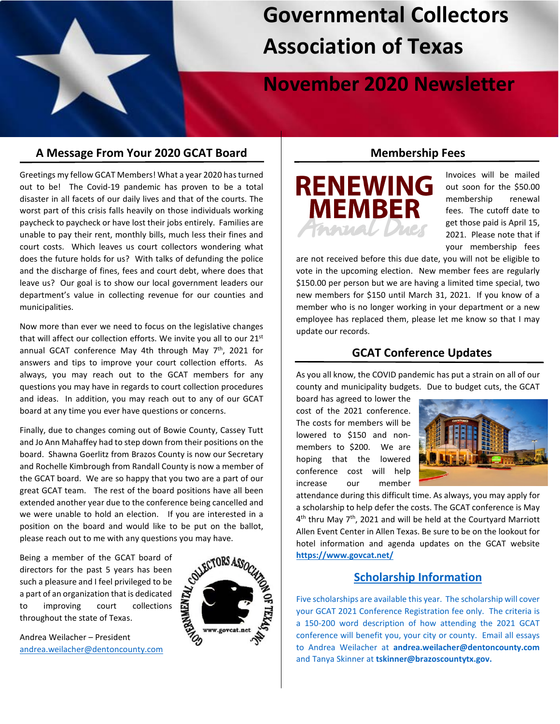# **Governmental Collectors Association of Texas**

# **November 2020 Newsletter**

# **A Message From Your 2020 GCAT Board**

Greetings my fellow GCAT Members! What a year 2020 has turned out to be! The Covid-19 pandemic has proven to be a total disaster in all facets of our daily lives and that of the courts. The worst part of this crisis falls heavily on those individuals working paycheck to paycheck or have lost their jobs entirely. Families are unable to pay their rent, monthly bills, much less their fines and court costs. Which leaves us court collectors wondering what does the future holds for us? With talks of defunding the police and the discharge of fines, fees and court debt, where does that leave us? Our goal is to show our local government leaders our department's value in collecting revenue for our counties and municipalities.

Now more than ever we need to focus on the legislative changes that will affect our collection efforts. We invite you all to our 21<sup>st</sup> annual GCAT conference May 4th through May  $7<sup>th</sup>$ , 2021 for answers and tips to improve your court collection efforts. As always, you may reach out to the GCAT members for any questions you may have in regards to court collection procedures and ideas. In addition, you may reach out to any of our GCAT board at any time you ever have questions or concerns.

Finally, due to changes coming out of Bowie County, Cassey Tutt and Jo Ann Mahaffey had to step down from their positions on the board. Shawna Goerlitz from Brazos County is now our Secretary and Rochelle Kimbrough from Randall County is now a member of the GCAT board. We are so happy that you two are a part of our great GCAT team. The rest of the board positions have all been extended another year due to the conference being cancelled and we were unable to hold an election. If you are interested in a position on the board and would like to be put on the ballot, please reach out to me with any questions you may have.

Being a member of the GCAT board of directors for the past 5 years has been such a pleasure and I feel privileged to be<br>
a part of an organization that is dedicated<br>
to improving court collections<br>
throughout the state of Texas.<br>
Andrea Weilacher – President<br>
andrea weilacher Montenautic a part of an organization that is dedicated to improving court collections throughout the state of Texas.

Andrea Weilacher – President [andrea.weilacher@dentoncounty.com](mailto:andrea.weilacher@dentoncounty.com)



#### **Membership Fees**



Invoices will be mailed out soon for the \$50.00 membership renewal fees. The cutoff date to get those paid is April 15, 2021. Please note that if your membership fees

are not received before this due date, you will not be eligible to vote in the upcoming election. New member fees are regularly \$150.00 per person but we are having a limited time special, two new members for \$150 until March 31, 2021. If you know of a member who is no longer working in your department or a new employee has replaced them, please let me know so that I may update our records.

## **GCAT Conference Updates**

As you all know, the COVID pandemic has put a strain on all of our county and municipality budgets. Due to budget cuts, the GCAT

board has agreed to lower the cost of the 2021 conference. The costs for members will be lowered to \$150 and nonmembers to \$200. We are hoping that the lowered conference cost will help increase our member



attendance during this difficult time. As always, you may apply for a scholarship to help defer the costs. The GCAT conference is May  $4<sup>th</sup>$  thru May  $7<sup>th</sup>$ , 2021 and will be held at the Courtyard Marriott Allen Event Center in Allen Texas. Be sure to be on the lookout for hotel information and agenda updates on the GCAT website **<https://www.govcat.net/>**

#### **Scholarship Information**

Five scholarships are available this year. The scholarship will cover your GCAT 2021 Conference Registration fee only. The criteria is a 150-200 word description of how attending the 2021 GCAT conference will benefit you, your city or county. Email all essays to Andrea Weilacher at **[andrea.weilacher@dentoncounty.com](mailto:andrea.weilacher@dentoncounty.com)** and Tanya Skinner at **[tskinner@brazoscountytx.gov.](mailto:tskinner@brazoscountytx.gov)**